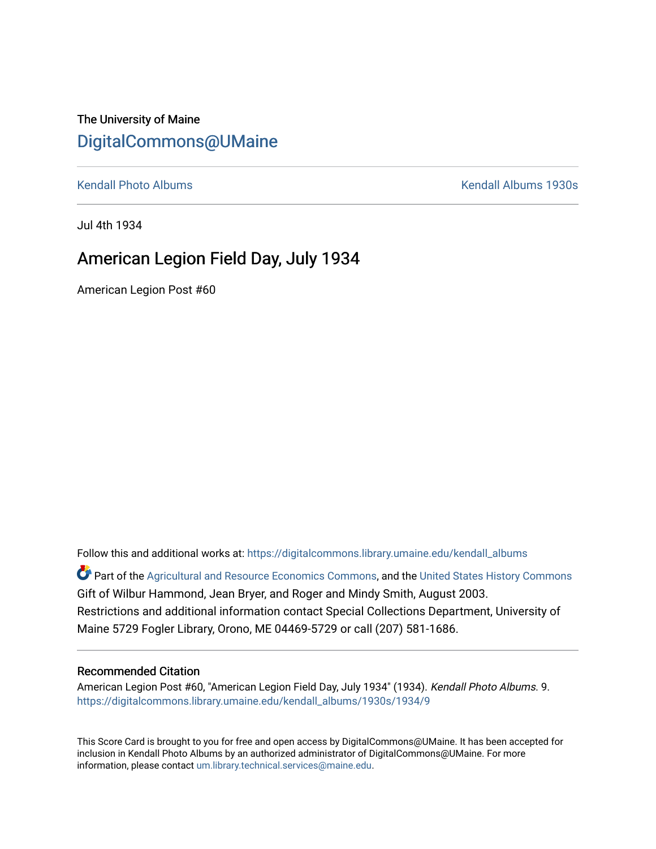## The University of Maine [DigitalCommons@UMaine](https://digitalcommons.library.umaine.edu/)

[Kendall Photo Albums](https://digitalcommons.library.umaine.edu/kendall_albums) [Kendall Albums 1930s](https://digitalcommons.library.umaine.edu/kendall_albums/1930s) 

Jul 4th 1934

## American Legion Field Day, July 1934

American Legion Post #60

Follow this and additional works at: [https://digitalcommons.library.umaine.edu/kendall\\_albums](https://digitalcommons.library.umaine.edu/kendall_albums?utm_source=digitalcommons.library.umaine.edu%2Fkendall_albums%2F1930s%2F1934%2F9&utm_medium=PDF&utm_campaign=PDFCoverPages)  Part of the [Agricultural and Resource Economics Commons,](http://network.bepress.com/hgg/discipline/317?utm_source=digitalcommons.library.umaine.edu%2Fkendall_albums%2F1930s%2F1934%2F9&utm_medium=PDF&utm_campaign=PDFCoverPages) and the [United States History Commons](http://network.bepress.com/hgg/discipline/495?utm_source=digitalcommons.library.umaine.edu%2Fkendall_albums%2F1930s%2F1934%2F9&utm_medium=PDF&utm_campaign=PDFCoverPages) Gift of Wilbur Hammond, Jean Bryer, and Roger and Mindy Smith, August 2003. Restrictions and additional information contact Special Collections Department, University of

Maine 5729 Fogler Library, Orono, ME 04469-5729 or call (207) 581-1686.

## Recommended Citation

American Legion Post #60, "American Legion Field Day, July 1934" (1934). Kendall Photo Albums. 9. [https://digitalcommons.library.umaine.edu/kendall\\_albums/1930s/1934/9](https://digitalcommons.library.umaine.edu/kendall_albums/1930s/1934/9?utm_source=digitalcommons.library.umaine.edu%2Fkendall_albums%2F1930s%2F1934%2F9&utm_medium=PDF&utm_campaign=PDFCoverPages) 

This Score Card is brought to you for free and open access by DigitalCommons@UMaine. It has been accepted for inclusion in Kendall Photo Albums by an authorized administrator of DigitalCommons@UMaine. For more information, please contact [um.library.technical.services@maine.edu](mailto:um.library.technical.services@maine.edu).